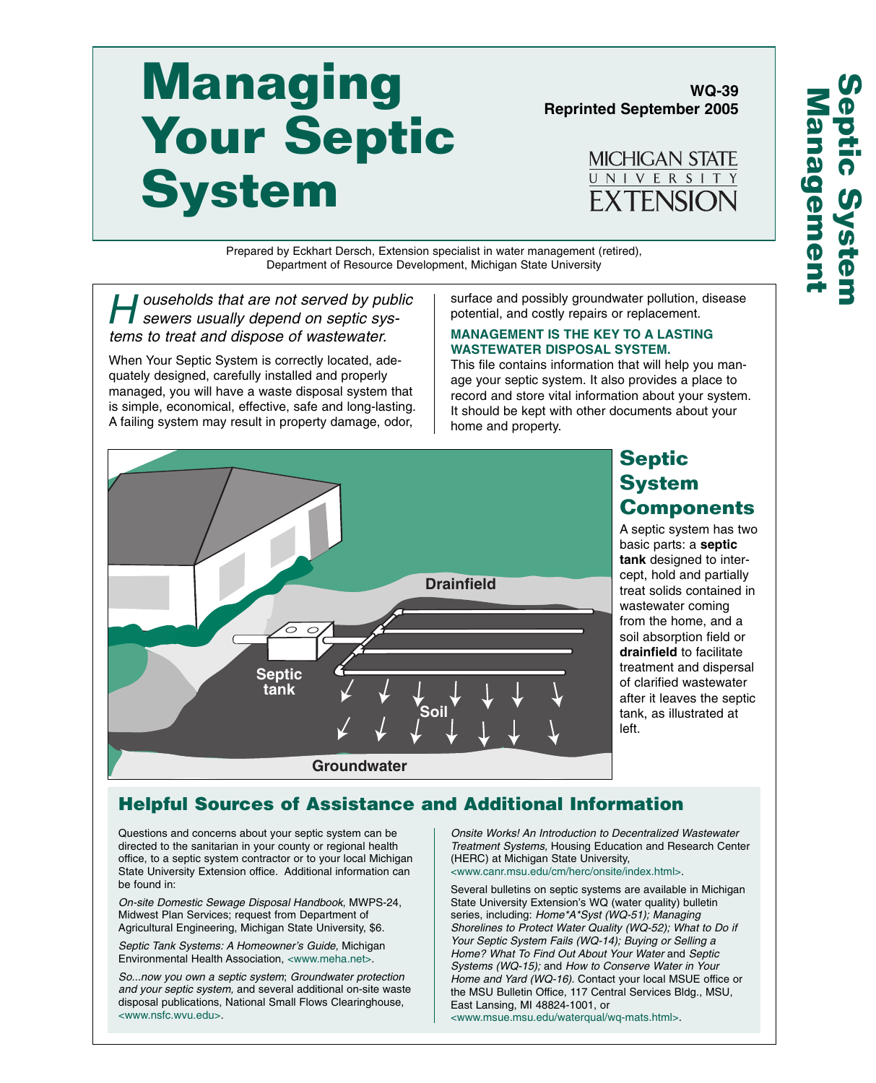# **Managing Your Septic System**

**Reprinted September 2005**

**WQ-39** 

MICHIGAN STATE UNIVERSITY **EXTENSION** 

Prepared by Eckhart Dersch, Extension specialist in water management (retired), Department of Resource Development, Michigan State University

eral puseholds that are not served by public<br>sewers usually depend on septic systems to treat and dispose of wastewater.

When Your Septic System is correctly located, adequately designed, carefully installed and properly managed, you will have a waste disposal system that is simple, economical, effective, safe and long-lasting. A failing system may result in property damage, odor,

surface and possibly groundwater pollution, disease potential, and costly repairs or replacement.

#### **MANAGEMENT IS THE KEY TO A LASTING WASTEWATER DISPOSAL SYSTEM.**

This file contains information that will help you manage your septic system. It also provides a place to record and store vital information about your system. It should be kept with other documents about your home and property.



## **Septic System Components**

A septic system has two basic parts: a **septic tank** designed to intercept, hold and partially treat solids contained in wastewater coming from the home, and a soil absorption field or **drainfield** to facilitate treatment and dispersal of clarified wastewater after it leaves the septic tank, as illustrated at left.

## **Helpful Sources of Assistance and Additional Information**

Questions and concerns about your septic system can be directed to the sanitarian in your county or regional health office, to a septic system contractor or to your local Michigan State University Extension office. Additional information can be found in:

On-site Domestic Sewage Disposal Handbook, MWPS-24, Midwest Plan Services; request from Department of Agricultural Engineering, Michigan State University, \$6.

Septic Tank Systems: A Homeowner's Guide, Michigan Environmental Health Association, <www.meha.net>.

So...now you own a septic system; Groundwater protection and your septic system, and several additional on-site waste disposal publications, National Small Flows Clearinghouse, <www.nsfc.wvu.edu>.

Onsite Works! An Introduction to Decentralized Wastewater Treatment Systems, Housing Education and Research Center (HERC) at Michigan State University, <www.canr.msu.edu/cm/herc/onsite/index.html>.

Several bulletins on septic systems are available in Michigan State University Extension's WQ (water quality) bulletin series, including: Home\*A\*Syst (WQ-51); Managing Shorelines to Protect Water Quality (WQ-52); What to Do if Your Septic System Fails (WQ-14); Buying or Selling a Home? What To Find Out About Your Water and Septic Systems (WQ-15); and How to Conserve Water in Your Home and Yard (WQ-16). Contact your local MSUE office or the MSU Bulletin Office, 117 Central Services Bldg., MSU, East Lansing, MI 48824-1001, or <www.msue.msu.edu/waterqual/wq-mats.html>.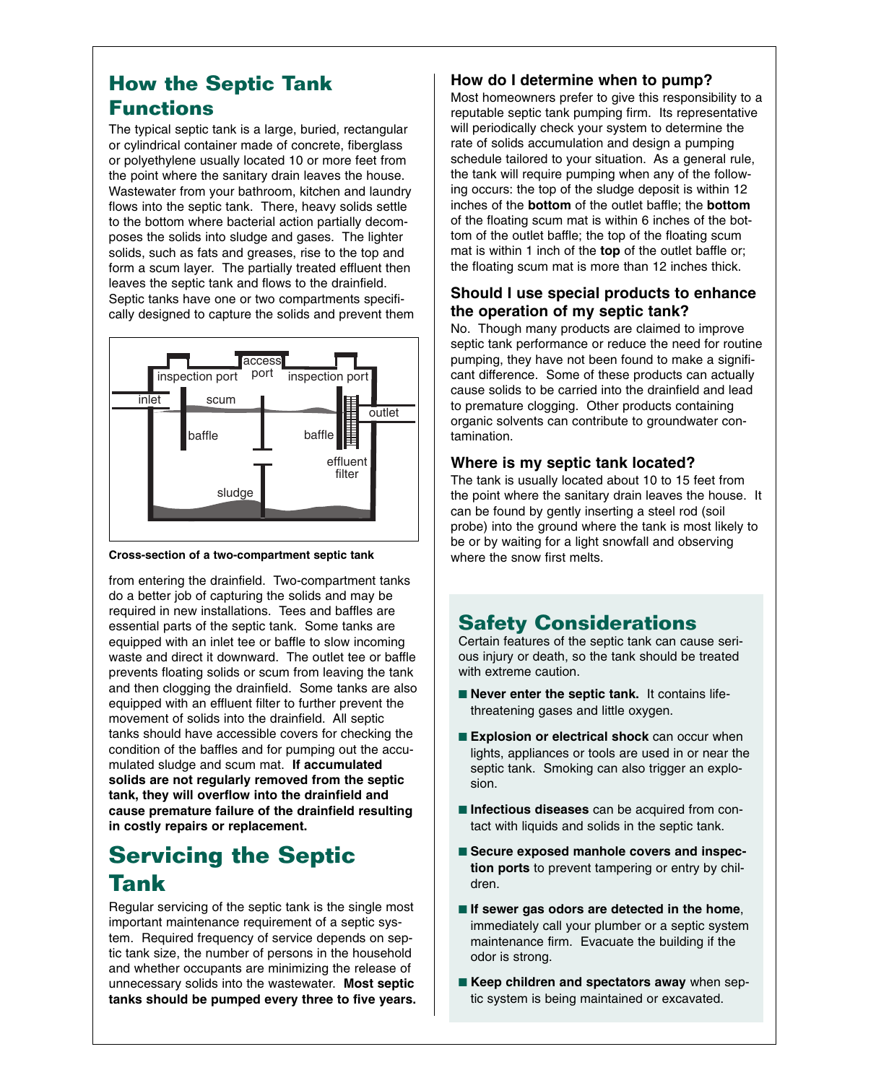# **How the Septic Tank Functions**

The typical septic tank is a large, buried, rectangular or cylindrical container made of concrete, fiberglass or polyethylene usually located 10 or more feet from the point where the sanitary drain leaves the house. Wastewater from your bathroom, kitchen and laundry flows into the septic tank. There, heavy solids settle to the bottom where bacterial action partially decomposes the solids into sludge and gases. The lighter solids, such as fats and greases, rise to the top and form a scum layer. The partially treated effluent then leaves the septic tank and flows to the drainfield. Septic tanks have one or two compartments specifically designed to capture the solids and prevent them



#### **Cross-section of a two-compartment septic tank**

from entering the drainfield. Two-compartment tanks do a better job of capturing the solids and may be required in new installations. Tees and baffles are essential parts of the septic tank. Some tanks are equipped with an inlet tee or baffle to slow incoming waste and direct it downward. The outlet tee or baffle prevents floating solids or scum from leaving the tank and then clogging the drainfield. Some tanks are also equipped with an effluent filter to further prevent the movement of solids into the drainfield. All septic tanks should have accessible covers for checking the condition of the baffles and for pumping out the accumulated sludge and scum mat. **If accumulated solids are not regularly removed from the septic tank, they will overflow into the drainfield and cause premature failure of the drainfield resulting in costly repairs or replacement.**

# **Servicing the Septic Tank**

Regular servicing of the septic tank is the single most important maintenance requirement of a septic system. Required frequency of service depends on septic tank size, the number of persons in the household and whether occupants are minimizing the release of unnecessary solids into the wastewater. **Most septic tanks should be pumped every three to five years.**

#### **How do I determine when to pump?**

Most homeowners prefer to give this responsibility to a reputable septic tank pumping firm. Its representative will periodically check your system to determine the rate of solids accumulation and design a pumping schedule tailored to your situation. As a general rule, the tank will require pumping when any of the following occurs: the top of the sludge deposit is within 12 inches of the **bottom** of the outlet baffle; the **bottom** of the floating scum mat is within 6 inches of the bottom of the outlet baffle; the top of the floating scum mat is within 1 inch of the **top** of the outlet baffle or; the floating scum mat is more than 12 inches thick.

### **Should I use special products to enhance the operation of my septic tank?**

No. Though many products are claimed to improve septic tank performance or reduce the need for routine pumping, they have not been found to make a significant difference. Some of these products can actually cause solids to be carried into the drainfield and lead to premature clogging. Other products containing organic solvents can contribute to groundwater contamination.

#### **Where is my septic tank located?**

The tank is usually located about 10 to 15 feet from the point where the sanitary drain leaves the house. It can be found by gently inserting a steel rod (soil probe) into the ground where the tank is most likely to be or by waiting for a light snowfall and observing where the snow first melts.

# **Safety Considerations**

Certain features of the septic tank can cause serious injury or death, so the tank should be treated with extreme caution.

- **Never enter the septic tank.** It contains lifethreatening gases and little oxygen.
- **Explosion or electrical shock** can occur when lights, appliances or tools are used in or near the septic tank. Smoking can also trigger an explosion.
- **Infectious diseases** can be acquired from contact with liquids and solids in the septic tank.
- Secure exposed manhole covers and inspec**tion ports** to prevent tampering or entry by children.
- If sewer gas odors are detected in the home, immediately call your plumber or a septic system maintenance firm. Evacuate the building if the odor is strong.
- **Keep children and spectators away** when septic system is being maintained or excavated.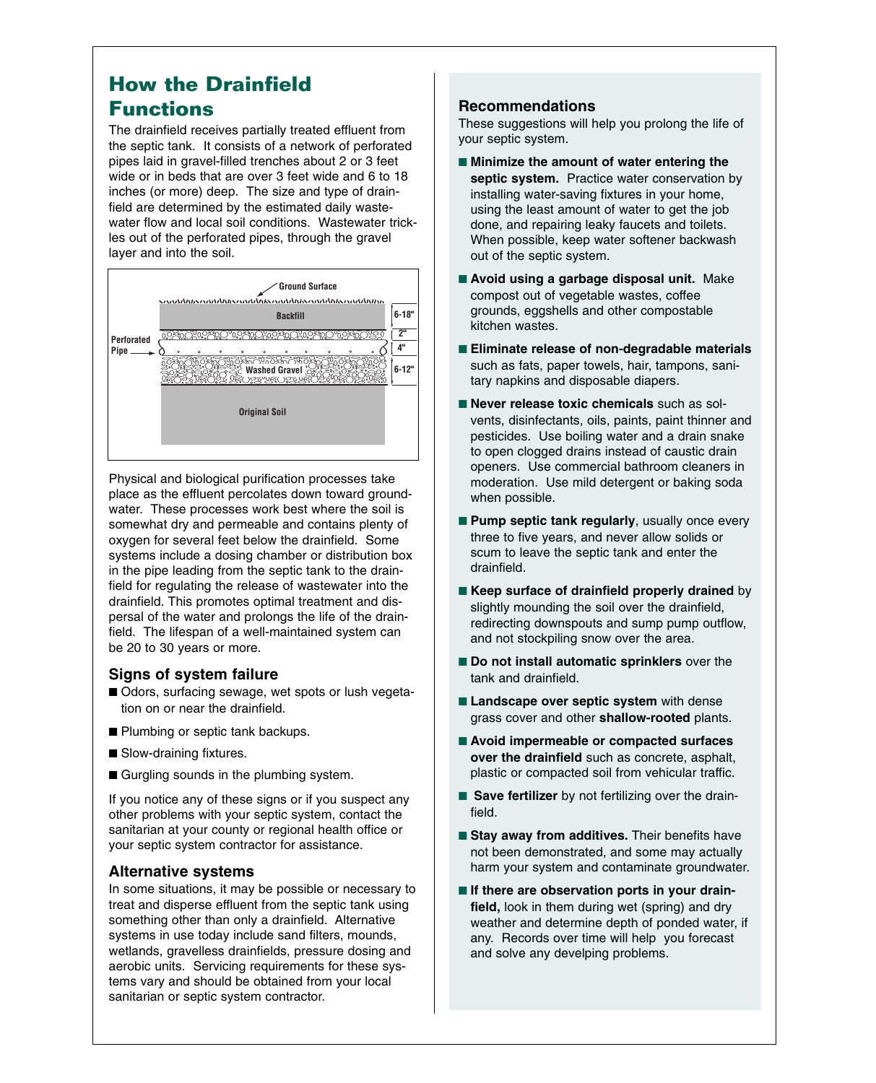## **How the Drainfield Functions**

The drainfield receives partially treated effluent from the septic tank. It consists of a network of perforated pipes laid in gravel-filled trenches about 2 or 3 feet wide or in beds that are over 3 feet wide and 6 to 18 inches (or more) deep. The size and type of drainfield are determined by the estimated daily wastewater flow and local soil conditions. Wastewater trickles out of the perforated pipes, through the gravel layer and into the soil.



Physical and biological purification processes take place as the effluent percolates down toward groundwater. These processes work best where the soil is somewhat dry and permeable and contains plenty of oxygen for several feet below the drainfield. Some systems include a dosing chamber or distribution box in the pipe leading from the septic tank to the drainfield for regulating the release of wastewater into the drainfield. This promotes optimal treatment and dispersal of the water and prolongs the life of the drainfield. The lifespan of a well-maintained system can be 20 to 30 years or more.

#### **Signs of system failure**

- Odors, surfacing sewage, wet spots or lush vegetation on or near the drainfield.
- Plumbing or septic tank backups.
- Slow-draining fixtures.
- Gurgling sounds in the plumbing system.

If you notice any of these signs or if you suspect any other problems with your septic system, contact the sanitarian at your county or regional health office or your septic system contractor for assistance.

#### **Alternative systems**

In some situations, it may be possible or necessary to treat and disperse effluent from the septic tank using something other than only a drainfield. Alternative systems in use today include sand filters, mounds, wetlands, gravelless drainfields, pressure dosing and aerobic units. Servicing requirements for these systems vary and should be obtained from your local sanitarian or septic system contractor.

#### **Recommendations**

These suggestions will help you prolong the life of your septic system.

- Minimize the amount of water entering the septic system. Practice water conservation by installing water-saving fixtures in your home, using the least amount of water to get the job done, and repairing leaky faucets and toilets. When possible, keep water softener backwash out of the septic system.
- **Avoid using a garbage disposal unit.** Make compost out of vegetable wastes, coffee grounds, eggshells and other compostable kitchen wastes.
- **Eliminate release of non-degradable materials** such as fats, paper towels, hair, tampons, sanitary napkins and disposable diapers.
- **Never release toxic chemicals** such as solvents, disinfectants, oils, paints, paint thinner and pesticides. Use boiling water and a drain snake to open clogged drains instead of caustic drain openers. Use commercial bathroom cleaners in moderation. Use mild detergent or baking soda when possible.
- **Pump septic tank regularly**, usually once every three to five years, and never allow solids or scum to leave the septic tank and enter the drainfield.
- **Keep surface of drainfield properly drained** by slightly mounding the soil over the drainfield, redirecting downspouts and sump pump outflow, and not stockpiling snow over the area.
- **Do not install automatic sprinklers** over the tank and drainfield.
- **Landscape over septic system** with dense grass cover and other **shallow-rooted** plants.
- **Avoid impermeable or compacted surfaces over the drainfield** such as concrete, asphalt, plastic or compacted soil from vehicular traffic.
- **Save fertilizer** by not fertilizing over the drainfield.
- Stay away from additives. Their benefits have not been demonstrated, and some may actually harm your system and contaminate groundwater.
- If there are observation ports in your drain**field,** look in them during wet (spring) and dry weather and determine depth of ponded water, if any. Records over time will help you forecast and solve any develping problems.